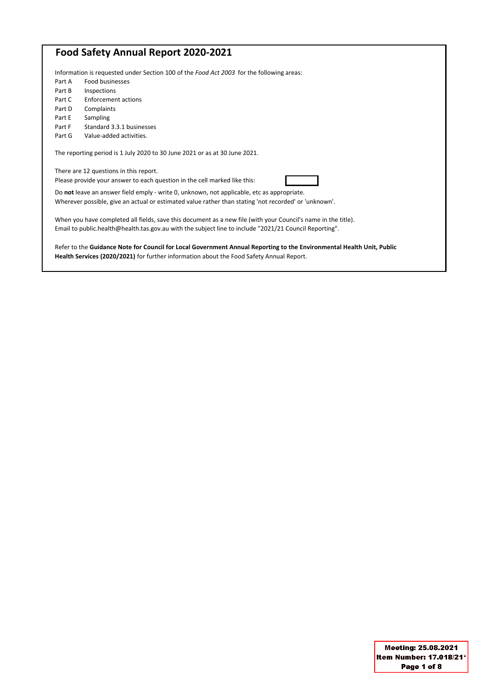# **Food Safety Annual Report 2020-2021**

| Information is requested under Section 100 of the Food Act 2003 for the following areas:                              |                                        |  |  |  |  |
|-----------------------------------------------------------------------------------------------------------------------|----------------------------------------|--|--|--|--|
| Part A                                                                                                                | Food businesses                        |  |  |  |  |
| Part B                                                                                                                | Inspections                            |  |  |  |  |
| Part C                                                                                                                | Enforcement actions                    |  |  |  |  |
| Part D                                                                                                                | Complaints                             |  |  |  |  |
| Part E                                                                                                                | Sampling                               |  |  |  |  |
| Part F                                                                                                                | Standard 3.3.1 businesses              |  |  |  |  |
| Part G                                                                                                                | Value-added activities.                |  |  |  |  |
| The reporting period is 1 July 2020 to 30 June 2021 or as at 30 June 2021.                                            |                                        |  |  |  |  |
|                                                                                                                       | There are 12 questions in this report. |  |  |  |  |
| Please provide your answer to each question in the cell marked like this:                                             |                                        |  |  |  |  |
| Do not leave an answer field emply - write 0, unknown, not applicable, etc as appropriate.                            |                                        |  |  |  |  |
| Wherever possible, give an actual or estimated value rather than stating 'not recorded' or 'unknown'.                 |                                        |  |  |  |  |
|                                                                                                                       |                                        |  |  |  |  |
| When you have completed all fields, save this document as a new file (with your Council's name in the title).         |                                        |  |  |  |  |
| Email to public.health@health.tas.gov.au with the subject line to include "2021/21 Council Reporting".                |                                        |  |  |  |  |
|                                                                                                                       |                                        |  |  |  |  |
| Refer to the Guidance Note for Council for Local Government Annual Reporting to the Environmental Health Unit, Public |                                        |  |  |  |  |
| Health Services (2020/2021) for further information about the Food Safety Annual Report.                              |                                        |  |  |  |  |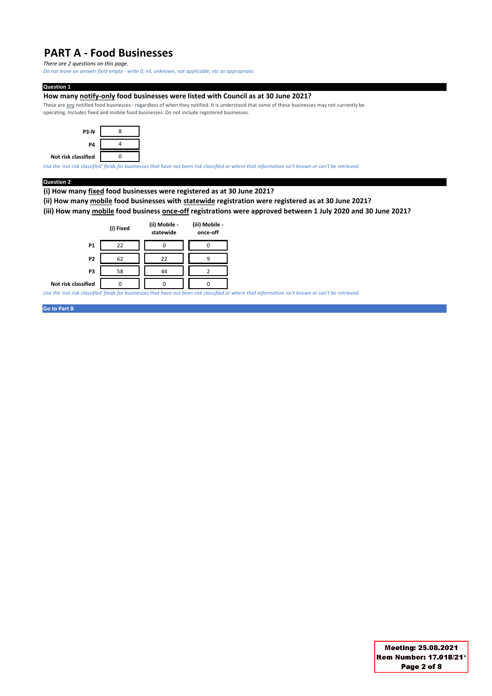# **PART A - Food Businesses**

*There are 2 questions on this page.* 

*Do not leave an answer field empty - write 0, nil, unknown, not applicable, etc as appropriate.*

#### **Question 1**

### **How many notify-only food businesses were listed with Council as at 30 June 2021?**

These are any notified food businesses - regardless of when they notified. It is understood that some of these businesses may not currently be operating. Includes fixed and mobile food businesses. Do not include registered businesses.



*Use the 'not risk classified' fields for businesses that have not been risk classified or where that information isn't known or can't be retrieved.*

#### **Question 2**

**(i) How many fixed food businesses were registered as at 30 June 2021?** 

**(ii) How many mobile food businesses with statewide registration were registered as at 30 June 2021?** 

**(iii) How many mobile food business once-off registrations were approved between 1 July 2020 and 30 June 2021?**



*Use the 'not risk classified' fields for businesses that have not been risk classified or where that information isn't known or can't be retrieved.*

**Go to Part B**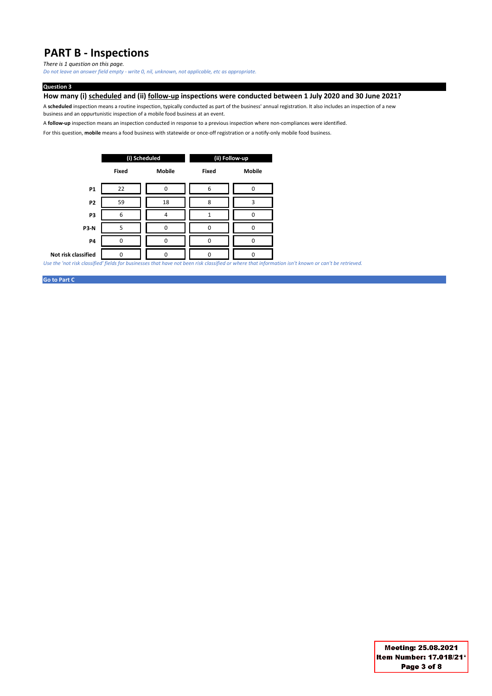# **PART B - Inspections**

*There is 1 question on this page.* 

*Do not leave an answer field empty - write 0, nil, unknown, not applicable, etc as appropriate.*

#### **Question 3**

**How many (i) scheduled and (ii) follow-up inspections were conducted between 1 July 2020 and 30 June 2021?**

A **scheduled** inspection means a routine inspection, typically conducted as part of the business' annual registration. It also includes an inspection of a new business and an oppurtunistic inspection of a mobile food business at an event.

A **follow-up** inspection means an inspection conducted in response to a previous inspection where non-compliances were identified.

For this question, **mobile** means a food business with statewide or once-off registration or a notify-only mobile food business.

|                     |              | (i) Scheduled | (ii) Follow-up |               |  |  |
|---------------------|--------------|---------------|----------------|---------------|--|--|
|                     | <b>Fixed</b> | <b>Mobile</b> | <b>Fixed</b>   | <b>Mobile</b> |  |  |
| <b>P1</b>           | 22           | ŋ             | 6              | n             |  |  |
| P <sub>2</sub>      | 59           | 18            | 8              | 3             |  |  |
| P3                  | 6            | 4             |                | n             |  |  |
| <b>P3-N</b>         | 5            | $\Omega$      | <sup>0</sup>   | $\Omega$      |  |  |
| <b>P4</b>           | ŋ            | $\Omega$      | $\Omega$       | ŋ             |  |  |
| Not risk classified | n            | ŋ             | n              | 0             |  |  |

*Use the 'not risk classified' fields for businesses that have not been risk classified or where that information isn't known or can't be retrieved.*

#### **Go to Part C**

Meeting: 25.08.2021 Item Number: 17.018/21\* Page 3 of 8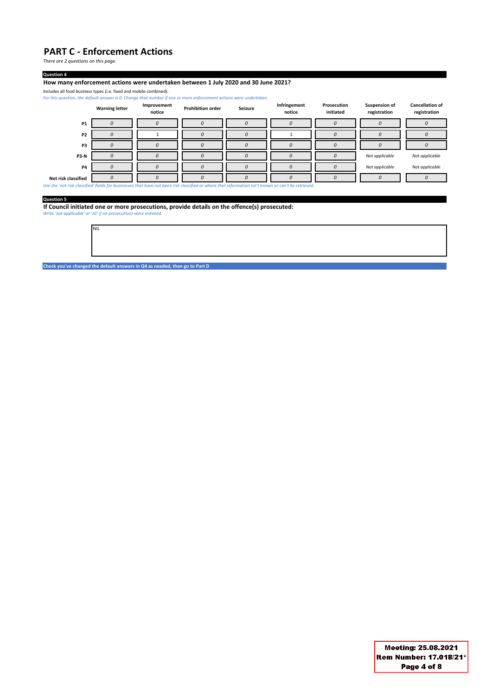## **PART C - Enforcement Actions**

*There are 2 questions on this page.* 

#### **Question 4**

**How many enforcement actions were undertaken between 1 July 2020 and 30 June 2021?**

Includes all food business types (i.e. fixed and mobile combined).

*For this question, the default answer is 0. Change that number if one or more enforcement actions were undertaken.* 

|                                                                                                                                                     | <b>Warning letter</b> | Improvement<br>notice | <b>Prohibition order</b> | <b>Seizure</b> | Infringement<br>notice | Prosecution<br>initiated | <b>Suspension of</b><br>registration | <b>Cancellation of</b><br>registration |
|-----------------------------------------------------------------------------------------------------------------------------------------------------|-----------------------|-----------------------|--------------------------|----------------|------------------------|--------------------------|--------------------------------------|----------------------------------------|
| <b>P1</b>                                                                                                                                           | 0                     | 0                     | $\mathcal{O}$            | 0              | 0                      | 0                        | 0                                    | U                                      |
| <b>P2</b>                                                                                                                                           | 0                     |                       | $\mathcal{O}$            | $\Omega$       |                        | 0                        | 0                                    | $\theta$                               |
| P <sub>3</sub>                                                                                                                                      | 0                     |                       | $\Omega$                 | $\Omega$       | 0                      | $\Omega$                 | 0                                    |                                        |
| <b>P3-N</b>                                                                                                                                         | U                     |                       | $\Omega$                 | $\Omega$       | 0                      | 0                        | Not applicable                       | Not applicable                         |
| <b>P4</b>                                                                                                                                           | O                     |                       | $\Omega$                 | $\Omega$       | 0                      | 0                        | Not applicable                       | Not applicable                         |
| Not risk classified                                                                                                                                 |                       |                       |                          |                | O                      | $\Omega$                 | 0                                    |                                        |
| Use the 'not risk classified' fields for businesses that have not been risk classified or where that information isn't known or can't be retrieved. |                       |                       |                          |                |                        |                          |                                      |                                        |
| <b>Question 5</b>                                                                                                                                   |                       |                       |                          |                |                        |                          |                                      |                                        |

**If Council initiated one or more prosecutions, provide details on the offence(s) prosecuted:**  *Write 'not applicable' or 'nil' if no prosecutions were initiated.*

**Check you've changed the default answers in Q4 as needed, then go to Part D**

NIL

Meeting: 25.08.2021 Item Number: 17.018/21\* Page 4 of 8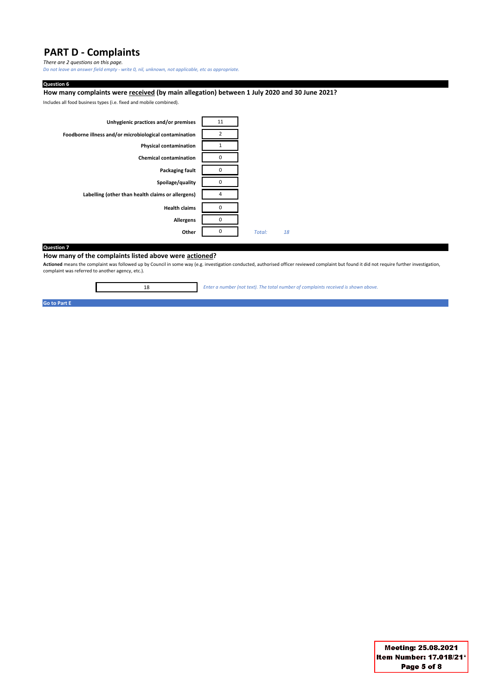# **PART D - Complaints**

*There are 2 questions on this page.* 

*Do not leave an answer field empty - write 0, nil, unknown, not applicable, etc as appropriate.*

#### **Question 6**

#### **How many complaints were received (by main allegation) between 1 July 2020 and 30 June 2021?**

Includes all food business types (i.e. fixed and mobile combined).



#### **Question 7**

**How many of the complaints listed above were actioned?**

18

**Actioned** means the complaint was followed up by Council in some way (e.g. investigation conducted, authorised officer reviewed complaint but found it did not require further investigation, complaint was referred to another agency, etc.).

*Enter a number (not text). The total number of complaints received is shown above.*

**Go to Part E**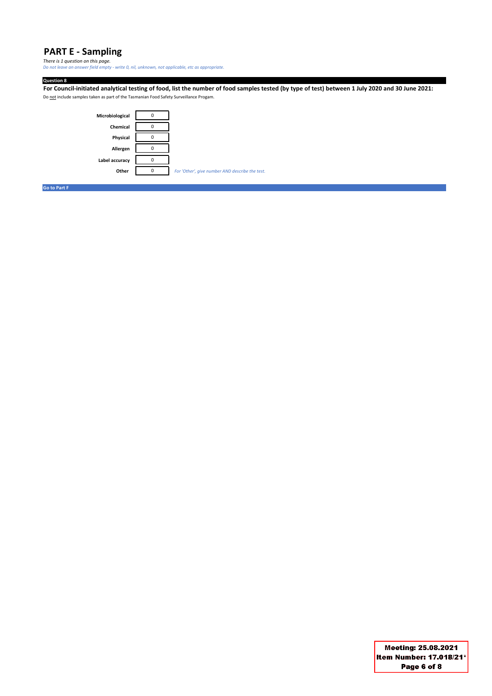## **PART E - Sampling**

*There is 1 question on this page. Do not leave an answer field empty - write 0, nil, unknown, not applicable, etc as appropriate.*

**Question 8 For Council-initiated analytical testing of food, list the number of food samples tested (by type of test) between 1 July 2020 and 30 June 2021:** Do not include samples taken as part of the Tasmanian Food Safety Surveillance Progam.



**Go to Part F**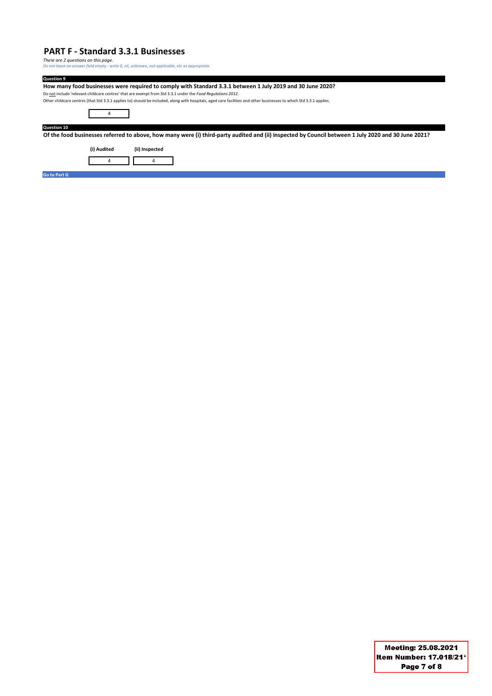### **PART F - Standard 3.3.1 Businesses**

*There are 2 questions on this page. Do not leave an answer field empty - write 0, nil, unknown, not applicable, etc as appropriate.*

**Question 9 How many food businesses were required to comply with Standard 3.3.1 between 1 July 2019 and 30 June 2020?** Do not include 'relevant childcare centres' that are exempt from Std 3.3.1 under the *Food Regulations 2012.* Other childcare centres (that Std 3.3.1 applies to) should be included, along with hospitals, aged care facilities and other businesses to which Std 3.3.1 applies. 4 **Question 10 Of the food businesses referred to above, how many were (i) third-party audited and (ii) inspected by Council between 1 July 2020 and 30 June 2021? (i) Audited (ii) Inspected** 4 4 **Go to Part G**